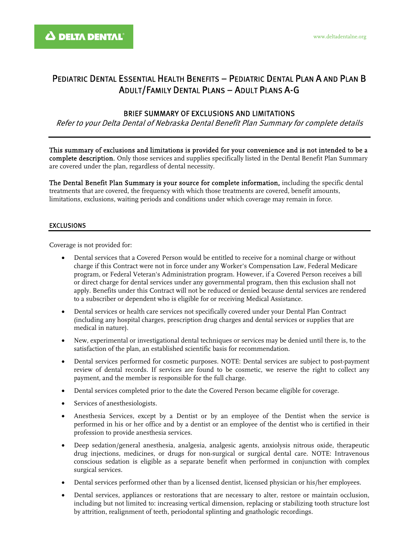## PEDIATRIC DENTAL ESSENTIAL HEALTH BENEFITS – PEDIATRIC DENTAL PLAN A AND PLAN B ADULT/FAMILY DENTAL PLANS – ADULT PLANS A-G

## BRIEF SUMMARY OF EXCLUSIONS AND LIMITATIONS

Refer to your Delta Dental of Nebraska Dental Benefit Plan Summary for complete details

This summary of exclusions and limitations is provided for your convenience and is not intended to be a complete description. Only those services and supplies specifically listed in the Dental Benefit Plan Summary are covered under the plan, regardless of dental necessity.

The Dental Benefit Plan Summary is your source for complete information, including the specific dental treatments that are covered, the frequency with which those treatments are covered, benefit amounts, limitations, exclusions, waiting periods and conditions under which coverage may remain in force.

## EXCLUSIONS

Coverage is not provided for:

- Dental services that a Covered Person would be entitled to receive for a nominal charge or without charge if this Contract were not in force under any Worker's Compensation Law, Federal Medicare program, or Federal Veteran's Administration program. However, if a Covered Person receives a bill or direct charge for dental services under any governmental program, then this exclusion shall not apply. Benefits under this Contract will not be reduced or denied because dental services are rendered to a subscriber or dependent who is eligible for or receiving Medical Assistance.
- Dental services or health care services not specifically covered under your Dental Plan Contract (including any hospital charges, prescription drug charges and dental services or supplies that are medical in nature).
- New, experimental or investigational dental techniques or services may be denied until there is, to the satisfaction of the plan, an established scientific basis for recommendation.
- Dental services performed for cosmetic purposes. NOTE: Dental services are subject to post-payment review of dental records. If services are found to be cosmetic, we reserve the right to collect any payment, and the member is responsible for the full charge.
- Dental services completed prior to the date the Covered Person became eligible for coverage.
- Services of anesthesiologists.
- Anesthesia Services, except by a Dentist or by an employee of the Dentist when the service is performed in his or her office and by a dentist or an employee of the dentist who is certified in their profession to provide anesthesia services.
- Deep sedation/general anesthesia, analgesia, analgesic agents, anxiolysis nitrous oxide, therapeutic drug injections, medicines, or drugs for non-surgical or surgical dental care. NOTE: Intravenous conscious sedation is eligible as a separate benefit when performed in conjunction with complex surgical services.
- Dental services performed other than by a licensed dentist, licensed physician or his/her employees.
- Dental services, appliances or restorations that are necessary to alter, restore or maintain occlusion, including but not limited to: increasing vertical dimension, replacing or stabilizing tooth structure lost by attrition, realignment of teeth, periodontal splinting and gnathologic recordings.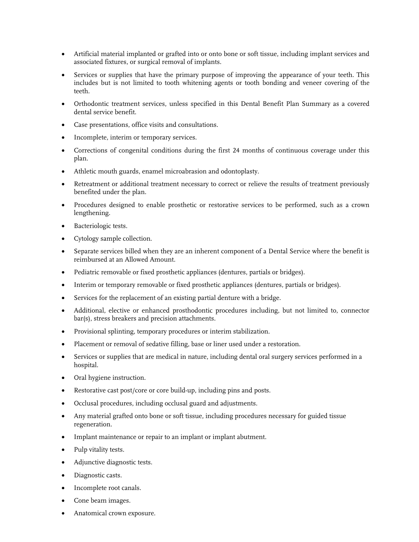- Artificial material implanted or grafted into or onto bone or soft tissue, including implant services and associated fixtures, or surgical removal of implants.
- Services or supplies that have the primary purpose of improving the appearance of your teeth. This includes but is not limited to tooth whitening agents or tooth bonding and veneer covering of the teeth.
- Orthodontic treatment services, unless specified in this Dental Benefit Plan Summary as a covered dental service benefit.
- Case presentations, office visits and consultations.
- Incomplete, interim or temporary services.
- Corrections of congenital conditions during the first 24 months of continuous coverage under this plan.
- Athletic mouth guards, enamel microabrasion and odontoplasty.
- Retreatment or additional treatment necessary to correct or relieve the results of treatment previously benefited under the plan.
- Procedures designed to enable prosthetic or restorative services to be performed, such as a crown lengthening.
- Bacteriologic tests.
- Cytology sample collection.
- Separate services billed when they are an inherent component of a Dental Service where the benefit is reimbursed at an Allowed Amount.
- Pediatric removable or fixed prosthetic appliances (dentures, partials or bridges).
- Interim or temporary removable or fixed prosthetic appliances (dentures, partials or bridges).
- Services for the replacement of an existing partial denture with a bridge.
- Additional, elective or enhanced prosthodontic procedures including, but not limited to, connector bar(s), stress breakers and precision attachments.
- Provisional splinting, temporary procedures or interim stabilization.
- Placement or removal of sedative filling, base or liner used under a restoration.
- Services or supplies that are medical in nature, including dental oral surgery services performed in a hospital.
- Oral hygiene instruction.
- Restorative cast post/core or core build-up, including pins and posts.
- Occlusal procedures, including occlusal guard and adjustments.
- Any material grafted onto bone or soft tissue, including procedures necessary for guided tissue regeneration.
- Implant maintenance or repair to an implant or implant abutment.
- Pulp vitality tests.
- Adjunctive diagnostic tests.
- Diagnostic casts.
- Incomplete root canals.
- Cone beam images.
- Anatomical crown exposure.